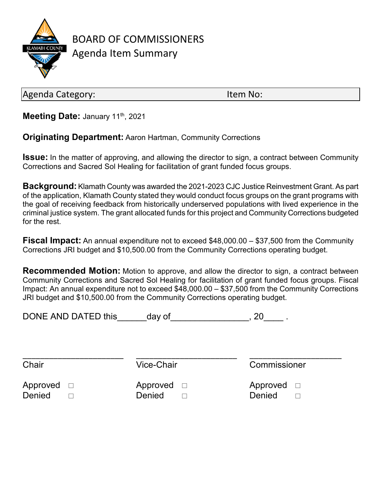

BOARD OF COMMISSIONERS Agenda Item Summary

Agenda Category: International Agenda Category:

**Meeting Date: January 11th, 2021** 

**Originating Department:** Aaron Hartman, Community Corrections

**Issue:** In the matter of approving, and allowing the director to sign, a contract between Community Corrections and Sacred Sol Healing for facilitation of grant funded focus groups.

**Background:** Klamath County was awarded the 2021-2023 CJC Justice Reinvestment Grant. As part of the application, Klamath County stated they would conduct focus groups on the grant programs with the goal of receiving feedback from historically underserved populations with lived experience in the criminal justice system. The grant allocated funds for this project and Community Corrections budgeted for the rest.

**Fiscal Impact:** An annual expenditure not to exceed \$48,000.00 – \$37,500 from the Community Corrections JRI budget and \$10,500.00 from the Community Corrections operating budget.

**Recommended Motion:** Motion to approve, and allow the director to sign, a contract between Community Corrections and Sacred Sol Healing for facilitation of grant funded focus groups. Fiscal Impact: An annual expenditure not to exceed \$48,000.00 – \$37,500 from the Community Corrections JRI budget and \$10,500.00 from the Community Corrections operating budget.

\_\_\_\_\_\_\_\_\_\_\_\_\_\_\_\_\_\_\_\_\_\_\_ \_\_\_\_\_\_\_\_\_\_\_\_\_\_\_\_\_\_\_\_\_\_\_ \_\_\_\_\_\_\_\_\_\_\_\_\_\_\_\_\_\_\_\_\_

DONE AND DATED this day of the set of the set of the set of the set of the set of the set of the set of the set o

Chair Vice-Chair Commissioner

Approved  $\Box$  Approved  $\Box$  Approved  $\Box$ Denied □ Denied □ Denied □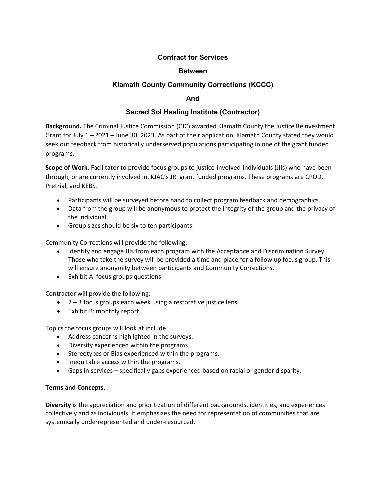## **Contract for Services**

#### **Between**

## **Klamath County Community Corrections (KCCC)**

#### **And**

### **Sacred Sol Healing Institute (Contractor)**

**Background.** The Criminal Justice Commission (CJC) awarded Klamath County the Justice Reinvestment Grant for July 1 – 2021 – June 30, 2023. As part of their application, Klamath County stated they would seek out feedback from historically underserved populations participating in one of the grant funded programs.

**Scope of Work.** Facilitator to provide focus groups to justice-involved-individuals (JIIs) who have been through, or are currently involved in, KJAC's JRI grant funded programs. These programs are CPOD, Pretrial, and KEBS.

- Participants will be surveyed before hand to collect program feedback and demographics.
- Data from the group will be anonymous to protect the integrity of the group and the privacy of the individual.
- Group sizes should be six to ten participants.

Community Corrections will provide the following:

- Identify and engage JIIs from each program with the Acceptance and Discrimination Survey. Those who take the survey will be provided a time and place for a follow up focus group. This will ensure anonymity between participants and Community Corrections.
- Exhibit A: focus groups questions

Contractor will provide the following:

- 2 3 focus groups each week using a restorative justice lens.
- Exhibit B: monthly report.

Topics the focus groups will look at include:

- Address concerns highlighted in the surveys.
- Diversity experienced within the programs.
- Stereotypes or Bias experienced within the programs.
- Inequitable access within the programs.
- Gaps in services specifically gaps experienced based on racial or gender disparity.

#### **Terms and Concepts.**

**Diversity** is the appreciation and prioritization of different backgrounds, identities, and experiences collectively and as individuals. It emphasizes the need for representation of communities that are systemically underrepresented and under-resourced.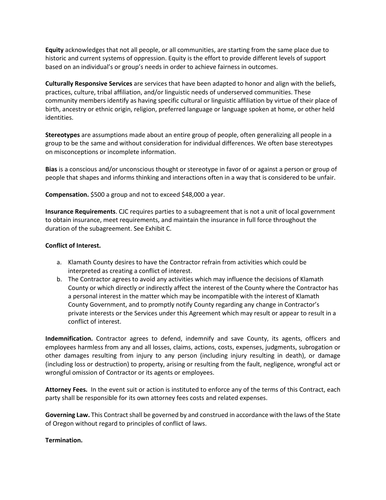**Equity** acknowledges that not all people, or all communities, are starting from the same place due to historic and current systems of oppression. Equity is the effort to provide different levels of support based on an individual's or group's needs in order to achieve fairness in outcomes.

**Culturally Responsive Services** are services that have been adapted to honor and align with the beliefs, practices, culture, tribal affiliation, and/or linguistic needs of underserved communities. These community members identify as having specific cultural or linguistic affiliation by virtue of their place of birth, ancestry or ethnic origin, religion, preferred language or language spoken at home, or other held identities.

**Stereotypes** are assumptions made about an entire group of people, often generalizing all people in a group to be the same and without consideration for individual differences. We often base stereotypes on misconceptions or incomplete information.

**Bias** is a conscious and/or unconscious thought or stereotype in favor of or against a person or group of people that shapes and informs thinking and interactions often in a way that is considered to be unfair.

**Compensation.** \$500 a group and not to exceed \$48,000 a year.

**Insurance Requirements**. CJC requires parties to a subagreement that is not a unit of local government to obtain insurance, meet requirements, and maintain the insurance in full force throughout the duration of the subagreement. See Exhibit C.

#### **Conflict of Interest.**

- a. Klamath County desires to have the Contractor refrain from activities which could be interpreted as creating a conflict of interest.
- b. The Contractor agrees to avoid any activities which may influence the decisions of Klamath County or which directly or indirectly affect the interest of the County where the Contractor has a personal interest in the matter which may be incompatible with the interest of Klamath County Government, and to promptly notify County regarding any change in Contractor's private interests or the Services under this Agreement which may result or appear to result in a conflict of interest.

**Indemnification.** Contractor agrees to defend, indemnify and save County, its agents, officers and employees harmless from any and all losses, claims, actions, costs, expenses, judgments, subrogation or other damages resulting from injury to any person (including injury resulting in death), or damage (including loss or destruction) to property, arising or resulting from the fault, negligence, wrongful act or wrongful omission of Contractor or its agents or employees.

**Attorney Fees.** In the event suit or action is instituted to enforce any of the terms of this Contract, each party shall be responsible for its own attorney fees costs and related expenses.

**Governing Law.** This Contract shall be governed by and construed in accordance with the laws of the State of Oregon without regard to principles of conflict of laws.

#### **Termination.**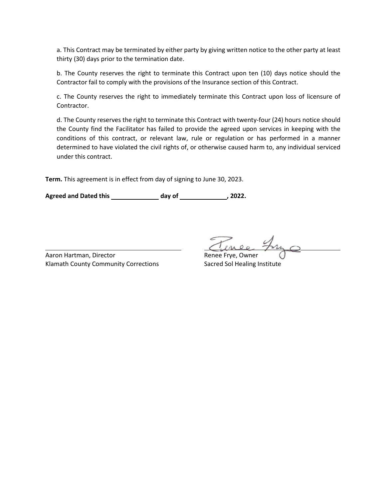a. This Contract may be terminated by either party by giving written notice to the other party at least thirty (30) days prior to the termination date.

b. The County reserves the right to terminate this Contract upon ten (10) days notice should the Contractor fail to comply with the provisions of the Insurance section of this Contract.

c. The County reserves the right to immediately terminate this Contract upon loss of licensure of Contractor.

d. The County reserves the right to terminate this Contract with twenty-four (24) hours notice should the County find the Facilitator has failed to provide the agreed upon services in keeping with the conditions of this contract, or relevant law, rule or regulation or has performed in a manner determined to have violated the civil rights of, or otherwise caused harm to, any individual serviced under this contract.

**Term.** This agreement is in effect from day of signing to June 30, 2023.

Agreed and Dated this **hadded** day of **contained and Dated this** day of the same of  $\overline{\phantom{a}}$ , 2022.

Aaron Hartman, Director **Renee Frye**, Owner Klamath County Community Corrections Sacred Sol Healing Institute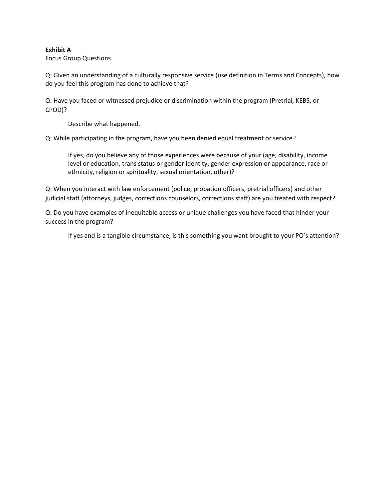#### **Exhibit A**

Focus Group Questions

Q: Given an understanding of a culturally responsive service (use definition in Terms and Concepts), how do you feel this program has done to achieve that?

Q: Have you faced or witnessed prejudice or discrimination within the program (Pretrial, KEBS, or CPOD)?

Describe what happened.

Q: While participating in the program, have you been denied equal treatment or service?

If yes, do you believe any of those experiences were because of your (age, disability, income level or education, trans status or gender identity, gender expression or appearance, race or ethnicity, religion or spirituality, sexual orientation, other)?

Q: When you interact with law enforcement (police, probation officers, pretrial officers) and other judicial staff (attorneys, judges, corrections counselors, corrections staff) are you treated with respect?

Q: Do you have examples of inequitable access or unique challenges you have faced that hinder your success in the program?

If yes and is a tangible circumstance, is this something you want brought to your PO's attention?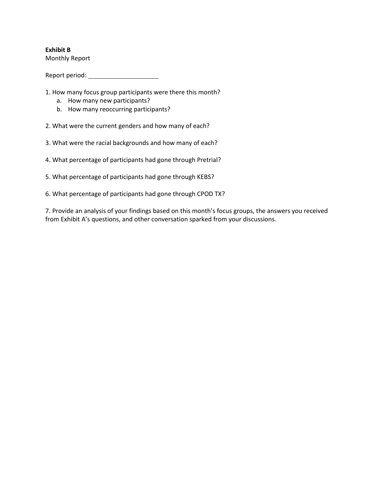## **Exhibit B**

Monthly Report

Report period:

- 1. How many focus group participants were there this month?
	- a. How many new participants?
	- b. How many reoccurring participants?

2. What were the current genders and how many of each?

- 3. What were the racial backgrounds and how many of each?
- 4. What percentage of participants had gone through Pretrial?
- 5. What percentage of participants had gone through KEBS?
- 6. What percentage of participants had gone through CPOD TX?

7. Provide an analysis of your findings based on this month's focus groups, the answers you received from Exhibit A's questions, and other conversation sparked from your discussions.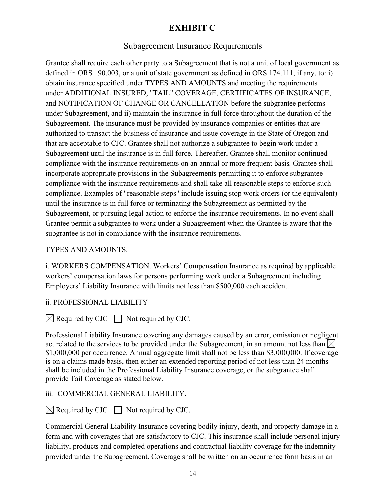# **EXHIBIT C**

# Subagreement Insurance Requirements

Grantee shall require each other party to a Subagreement that is not a unit of local government as defined in ORS 190.003, or a unit of state government as defined in ORS 174.111, if any, to: i) obtain insurance specified under TYPES AND AMOUNTS and meeting the requirements under ADDITIONAL INSURED, "TAIL" COVERAGE, CERTIFICATES OF INSURANCE, and NOTIFICATION OF CHANGE OR CANCELLATION before the subgrantee performs under Subagreement, and ii) maintain the insurance in full force throughout the duration of the Subagreement. The insurance must be provided by insurance companies or entities that are authorized to transact the business of insurance and issue coverage in the State of Oregon and that are acceptable to CJC. Grantee shall not authorize a subgrantee to begin work under a Subagreement until the insurance is in full force. Thereafter, Grantee shall monitor continued compliance with the insurance requirements on an annual or more frequent basis. Grantee shall incorporate appropriate provisions in the Subagreements permitting it to enforce subgrantee compliance with the insurance requirements and shall take all reasonable steps to enforce such compliance. Examples of "reasonable steps" include issuing stop work orders (or the equivalent) until the insurance is in full force or terminating the Subagreement as permitted by the Subagreement, or pursuing legal action to enforce the insurance requirements. In no event shall Grantee permit a subgrantee to work under a Subagreement when the Grantee is aware that the subgrantee is not in compliance with the insurance requirements.

# TYPES AND AMOUNTS.

i. WORKERS COMPENSATION. Workers' Compensation Insurance as required by applicable workers' compensation laws for persons performing work under a Subagreement including Employers' Liability Insurance with limits not less than \$500,000 each accident.

# ii. PROFESSIONAL LIABILITY

 $\boxtimes$  Required by CJC  $\Box$  Not required by CJC.

Professional Liability Insurance covering any damages caused by an error, omission or negligent act related to the services to be provided under the Subagreement, in an amount not less than  $\boxtimes$ \$1,000,000 per occurrence. Annual aggregate limit shall not be less than \$3,000,000. If coverage is on a claims made basis, then either an extended reporting period of not less than 24 months shall be included in the Professional Liability Insurance coverage, or the subgrantee shall provide Tail Coverage as stated below.

# iii. COMMERCIAL GENERAL LIABILITY.

 $\boxtimes$  Required by CJC  $\Box$  Not required by CJC.

Commercial General Liability Insurance covering bodily injury, death, and property damage in a form and with coverages that are satisfactory to CJC. This insurance shall include personal injury liability, products and completed operations and contractual liability coverage for the indemnity provided under the Subagreement. Coverage shall be written on an occurrence form basis in an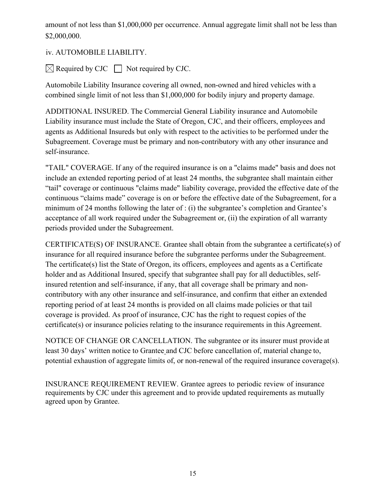amount of not less than \$1,000,000 per occurrence. Annual aggregate limit shall not be less than \$2,000,000.

iv. AUTOMOBILE LIABILITY.

 $\boxtimes$  Required by CJC  $\Box$  Not required by CJC.

Automobile Liability Insurance covering all owned, non-owned and hired vehicles with a combined single limit of not less than \$1,000,000 for bodily injury and property damage.

ADDITIONAL INSURED. The Commercial General Liability insurance and Automobile Liability insurance must include the State of Oregon, CJC, and their officers, employees and agents as Additional Insureds but only with respect to the activities to be performed under the Subagreement. Coverage must be primary and non-contributory with any other insurance and self-insurance.

"TAIL" COVERAGE. If any of the required insurance is on a "claims made" basis and does not include an extended reporting period of at least 24 months, the subgrantee shall maintain either "tail" coverage or continuous "claims made" liability coverage, provided the effective date of the continuous "claims made" coverage is on or before the effective date of the Subagreement, for a minimum of 24 months following the later of : (i) the subgrantee's completion and Grantee's acceptance of all work required under the Subagreement or, (ii) the expiration of all warranty periods provided under the Subagreement.

CERTIFICATE(S) OF INSURANCE. Grantee shall obtain from the subgrantee a certificate(s) of insurance for all required insurance before the subgrantee performs under the Subagreement. The certificate(s) list the State of Oregon, its officers, employees and agents as a Certificate holder and as Additional Insured, specify that subgrantee shall pay for all deductibles, selfinsured retention and self-insurance, if any, that all coverage shall be primary and noncontributory with any other insurance and self-insurance, and confirm that either an extended reporting period of at least 24 months is provided on all claims made policies or that tail coverage is provided. As proof of insurance, CJC has the right to request copies of the certificate(s) or insurance policies relating to the insurance requirements in this Agreement.

NOTICE OF CHANGE OR CANCELLATION. The subgrantee or its insurer must provide at least 30 days' written notice to Grantee and CJC before cancellation of, material change to, potential exhaustion of aggregate limits of, or non-renewal of the required insurance coverage(s).

INSURANCE REQUIREMENT REVIEW. Grantee agrees to periodic review of insurance requirements by CJC under this agreement and to provide updated requirements as mutually agreed upon by Grantee.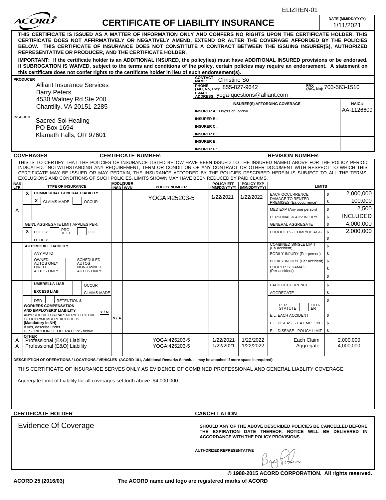|                   |                                                                                                                                                                                                                                                                                                                                                                                                                  |     |                  |                                                      |                                                                                                                                                                      |                           | ELIZREN-01                                                     |               |          |                                |
|-------------------|------------------------------------------------------------------------------------------------------------------------------------------------------------------------------------------------------------------------------------------------------------------------------------------------------------------------------------------------------------------------------------------------------------------|-----|------------------|------------------------------------------------------|----------------------------------------------------------------------------------------------------------------------------------------------------------------------|---------------------------|----------------------------------------------------------------|---------------|----------|--------------------------------|
|                   |                                                                                                                                                                                                                                                                                                                                                                                                                  |     |                  | <b>CERTIFICATE OF LIABILITY INSURANCE</b>            |                                                                                                                                                                      |                           |                                                                |               |          | DATE (MM/DD/YYYY)<br>1/11/2021 |
|                   | THIS CERTIFICATE IS ISSUED AS A MATTER OF INFORMATION ONLY AND CONFERS NO RIGHTS UPON THE CERTIFICATE HOLDER. THIS<br>CERTIFICATE DOES NOT AFFIRMATIVELY OR NEGATIVELY AMEND, EXTEND OR ALTER THE COVERAGE AFFORDED BY THE POLICIES<br>BELOW. THIS CERTIFICATE OF INSURANCE DOES NOT CONSTITUTE A CONTRACT BETWEEN THE ISSUING INSURER(S), AUTHORIZED<br>REPRESENTATIVE OR PRODUCER, AND THE CERTIFICATE HOLDER. |     |                  |                                                      |                                                                                                                                                                      |                           |                                                                |               |          |                                |
|                   | IMPORTANT: If the certificate holder is an ADDITIONAL INSURED, the policy(ies) must have ADDITIONAL INSURED provisions or be endorsed.<br>If SUBROGATION IS WAIVED, subject to the terms and conditions of the policy, certain policies may require an endorsement. A statement on<br>this certificate does not confer rights to the certificate holder in lieu of such endorsement(s).                          |     |                  |                                                      |                                                                                                                                                                      |                           |                                                                |               |          |                                |
| <b>PRODUCER</b>   |                                                                                                                                                                                                                                                                                                                                                                                                                  |     |                  |                                                      | <b>CONTACT</b><br><b>Christine So</b><br>NAME:                                                                                                                       |                           |                                                                |               |          |                                |
|                   | <b>Alliant Insurance Services</b>                                                                                                                                                                                                                                                                                                                                                                                |     |                  |                                                      | PHONE<br>(A/C, No, Ext): 855-827-9642<br>FAX (A/C, No): 703-563-1510                                                                                                 |                           |                                                                |               |          |                                |
|                   | <b>Barry Peters</b><br>4530 Walney Rd Ste 200                                                                                                                                                                                                                                                                                                                                                                    |     |                  |                                                      | E-MAIL<br>ADDRESS: yoga-questions@alliant.com                                                                                                                        |                           |                                                                |               |          |                                |
|                   | Chantilly, VA 20151-2285                                                                                                                                                                                                                                                                                                                                                                                         |     |                  | <b>NAIC#</b><br><b>INSURER(S) AFFORDING COVERAGE</b> |                                                                                                                                                                      |                           |                                                                |               |          |                                |
|                   |                                                                                                                                                                                                                                                                                                                                                                                                                  |     |                  | AA-1126609<br><b>INSURER A: Lloyd's of London</b>    |                                                                                                                                                                      |                           |                                                                |               |          |                                |
| <b>INSURED</b>    | Sacred Sol Healing                                                                                                                                                                                                                                                                                                                                                                                               |     |                  |                                                      | <b>INSURER B:</b>                                                                                                                                                    |                           |                                                                |               |          |                                |
|                   | PO Box 1694                                                                                                                                                                                                                                                                                                                                                                                                      |     |                  |                                                      | <b>INSURER C:</b>                                                                                                                                                    |                           |                                                                |               |          |                                |
|                   | Klamath Falls, OR 97601                                                                                                                                                                                                                                                                                                                                                                                          |     |                  |                                                      | <b>INSURER D:</b><br><b>INSURER E:</b>                                                                                                                               |                           |                                                                |               |          |                                |
|                   |                                                                                                                                                                                                                                                                                                                                                                                                                  |     |                  |                                                      | <b>INSURER F:</b>                                                                                                                                                    |                           |                                                                |               |          |                                |
|                   | <b>COVERAGES</b>                                                                                                                                                                                                                                                                                                                                                                                                 |     |                  | <b>CERTIFICATE NUMBER:</b>                           |                                                                                                                                                                      |                           | <b>REVISION NUMBER:</b>                                        |               |          |                                |
|                   | THIS IS TO CERTIFY THAT THE POLICIES OF INSURANCE LISTED BELOW HAVE BEEN ISSUED TO THE INSURED NAMED ABOVE FOR THE POLICY PERIOD                                                                                                                                                                                                                                                                                 |     |                  |                                                      |                                                                                                                                                                      |                           |                                                                |               |          |                                |
|                   | INDICATED. NOTWITHSTANDING ANY REQUIREMENT, TERM OR CONDITION OF ANY CONTRACT OR OTHER DOCUMENT WITH RESPECT TO WHICH THIS<br>CERTIFICATE MAY BE ISSUED OR MAY PERTAIN, THE INSURANCE AFFORDED BY THE POLICIES DESCRIBED HEREIN IS SUBJECT TO ALL THE TERMS,                                                                                                                                                     |     |                  |                                                      |                                                                                                                                                                      |                           |                                                                |               |          |                                |
|                   | EXCLUSIONS AND CONDITIONS OF SUCH POLICIES. LIMITS SHOWN MAY HAVE BEEN REDUCED BY PAID CLAIMS.                                                                                                                                                                                                                                                                                                                   |     | <b>ADDL SUBR</b> |                                                      | <b>POLICY EFF</b>                                                                                                                                                    | <b>POLICY EXP</b>         |                                                                |               |          |                                |
| <b>NSR</b><br>LTR | <b>TYPE OF INSURANCE</b>                                                                                                                                                                                                                                                                                                                                                                                         |     | INSD WVD         | <b>POLICY NUMBER</b>                                 |                                                                                                                                                                      | (MM/DD/YYYY) (MM/DD/YYYY) |                                                                | <b>LIMITS</b> |          |                                |
| X                 | <b>COMMERCIAL GENERAL LIABILITY</b>                                                                                                                                                                                                                                                                                                                                                                              |     |                  | YOGAI425203-5                                        | 1/22/2021                                                                                                                                                            | 1/22/2022                 | EACH OCCURRENCE<br><b>DAMAGE TO RENTED</b>                     |               | \$       | 2,000,000                      |
|                   | X.<br>CLAIMS-MADE<br><b>OCCUR</b>                                                                                                                                                                                                                                                                                                                                                                                |     |                  |                                                      |                                                                                                                                                                      |                           | PREMISES (Ea occurrence)                                       |               | \$       | 100,000<br>2,500               |
| Α                 |                                                                                                                                                                                                                                                                                                                                                                                                                  |     |                  |                                                      |                                                                                                                                                                      |                           | MED EXP (Any one person)                                       |               | \$<br>\$ | <b>INCLUDED</b>                |
|                   | GEN'L AGGREGATE LIMIT APPLIES PER:                                                                                                                                                                                                                                                                                                                                                                               |     |                  |                                                      |                                                                                                                                                                      |                           | PERSONAL & ADV INJURY<br><b>GENERAL AGGREGATE</b>              |               | \$       | 4,000,000                      |
| x                 | PRO-<br>JECT<br><b>POLICY</b><br>LOC                                                                                                                                                                                                                                                                                                                                                                             |     |                  |                                                      |                                                                                                                                                                      |                           | PRODUCTS - COMP/OP AGG                                         |               | \$       | 2,000,000                      |
|                   | OTHER:                                                                                                                                                                                                                                                                                                                                                                                                           |     |                  |                                                      |                                                                                                                                                                      |                           |                                                                |               | \$       |                                |
|                   | <b>AUTOMOBILE LIABILITY</b>                                                                                                                                                                                                                                                                                                                                                                                      |     |                  |                                                      |                                                                                                                                                                      |                           | <b>COMBINED SINGLE LIMIT</b><br>(Ea accident)                  |               | \$       |                                |
|                   | ANY AUTO                                                                                                                                                                                                                                                                                                                                                                                                         |     |                  |                                                      |                                                                                                                                                                      |                           | BODILY INJURY (Per person)                                     |               | \$       |                                |
|                   | OWNED<br><b>SCHEDULED</b><br><b>AUTOS ONLY</b><br>AUTOS                                                                                                                                                                                                                                                                                                                                                          |     |                  |                                                      |                                                                                                                                                                      |                           | BODILY INJURY (Per accident)                                   |               | \$       |                                |
|                   | NON-OWNED<br><b>HIRED</b><br><b>AUTOS ONLY</b><br><b>AUTOS ONLY</b>                                                                                                                                                                                                                                                                                                                                              |     |                  |                                                      |                                                                                                                                                                      |                           | PROPERTY DAMAGE<br>(Per accident)                              |               | \$       |                                |
|                   |                                                                                                                                                                                                                                                                                                                                                                                                                  |     |                  |                                                      |                                                                                                                                                                      |                           |                                                                |               | \$       |                                |
|                   | <b>UMBRELLA LIAB</b><br><b>OCCUR</b>                                                                                                                                                                                                                                                                                                                                                                             |     |                  |                                                      |                                                                                                                                                                      |                           | <b>EACH OCCURRENCE</b>                                         |               | \$       |                                |
|                   | <b>EXCESS LIAB</b><br><b>CLAIMS-MADE</b>                                                                                                                                                                                                                                                                                                                                                                         |     |                  |                                                      |                                                                                                                                                                      |                           | AGGREGATE                                                      |               | \$       |                                |
|                   | <b>RETENTION \$</b><br>DED<br><b>WORKERS COMPENSATION</b>                                                                                                                                                                                                                                                                                                                                                        |     |                  |                                                      |                                                                                                                                                                      |                           |                                                                |               | \$       |                                |
|                   | AND EMPLOYERS' LIABILITY<br>Y/N                                                                                                                                                                                                                                                                                                                                                                                  |     |                  |                                                      |                                                                                                                                                                      |                           | PER<br>STATUTE                                                 | OTH-<br>ER    |          |                                |
|                   | ANYPROPRIETOR/PARTNER/EXECUTIVE<br>OFFICER/MEMBER EXCLUDED?                                                                                                                                                                                                                                                                                                                                                      | N/A |                  |                                                      |                                                                                                                                                                      |                           | E.L. EACH ACCIDENT                                             |               | \$       |                                |
|                   | (Mandatory in NH)<br>If yes, describe under<br>DÉSCRIPTION OF OPERATIONS below                                                                                                                                                                                                                                                                                                                                   |     |                  |                                                      |                                                                                                                                                                      |                           | E.L. DISEASE - EA EMPLOYEE   \$<br>E.L. DISEASE - POLICY LIMIT |               | \$       |                                |
|                   | <b>OTHER</b>                                                                                                                                                                                                                                                                                                                                                                                                     |     |                  | YOGAI425203-5                                        | 1/22/2021                                                                                                                                                            | 1/22/2022                 |                                                                | Each Claim    |          |                                |
|                   | Professional (E&O) Liability                                                                                                                                                                                                                                                                                                                                                                                     |     |                  | YOGAI425203-5                                        | 1/22/2021                                                                                                                                                            | 1/22/2022                 |                                                                | Aggregate     |          | 2,000,000<br>4,000,000         |
|                   | Professional (E&O) Liability                                                                                                                                                                                                                                                                                                                                                                                     |     |                  |                                                      |                                                                                                                                                                      |                           |                                                                |               |          |                                |
|                   | DESCRIPTION OF OPERATIONS / LOCATIONS / VEHICLES (ACORD 101, Additional Remarks Schedule, may be attached if more space is required)                                                                                                                                                                                                                                                                             |     |                  |                                                      |                                                                                                                                                                      |                           |                                                                |               |          |                                |
|                   |                                                                                                                                                                                                                                                                                                                                                                                                                  |     |                  |                                                      |                                                                                                                                                                      |                           |                                                                |               |          |                                |
|                   | THIS CERTIFICATE OF INSURANCE SERVES ONLY AS EVIDENCE OF COMBINED PROFESSIONAL AND GENERAL LIABLITY COVERAGE                                                                                                                                                                                                                                                                                                     |     |                  |                                                      |                                                                                                                                                                      |                           |                                                                |               |          |                                |
|                   | Aggregate Limit of Liability for all coverages set forth above: \$4,000,000                                                                                                                                                                                                                                                                                                                                      |     |                  |                                                      |                                                                                                                                                                      |                           |                                                                |               |          |                                |
|                   |                                                                                                                                                                                                                                                                                                                                                                                                                  |     |                  |                                                      |                                                                                                                                                                      |                           |                                                                |               |          |                                |
|                   |                                                                                                                                                                                                                                                                                                                                                                                                                  |     |                  |                                                      |                                                                                                                                                                      |                           |                                                                |               |          |                                |
| Α<br>A            | <b>CERTIFICATE HOLDER</b>                                                                                                                                                                                                                                                                                                                                                                                        |     |                  |                                                      | <b>CANCELLATION</b>                                                                                                                                                  |                           |                                                                |               |          |                                |
|                   | Evidence Of Coverage                                                                                                                                                                                                                                                                                                                                                                                             |     |                  |                                                      | SHOULD ANY OF THE ABOVE DESCRIBED POLICIES BE CANCELLED BEFORE<br>THE EXPIRATION DATE THEREOF, NOTICE WILL BE DELIVERED IN<br>ACCORDANCE WITH THE POLICY PROVISIONS. |                           |                                                                |               |          |                                |
|                   |                                                                                                                                                                                                                                                                                                                                                                                                                  |     |                  |                                                      | <b>AUTHORIZED REPRESENTATIVE</b>                                                                                                                                     |                           |                                                                |               |          |                                |